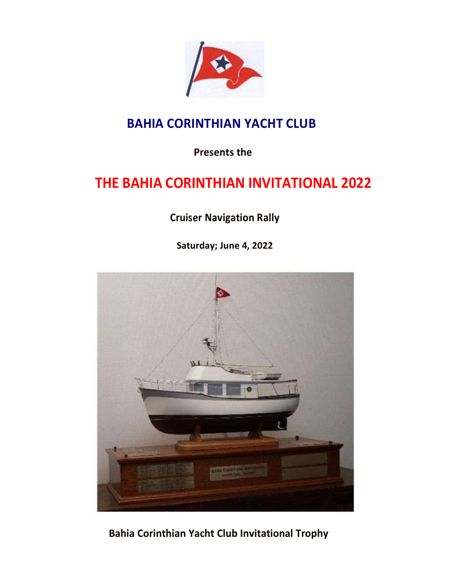

### **BAHIA CORINTHIAN YACHT CLUB**

**Presents the** 

# **THE BAHIA CORINTHIAN INVITATIONAL 2022**

**Cruiser Navigation Rally**

**Saturday; June 4, 2022**



**Bahia Corinthian Yacht Club Invitational Trophy**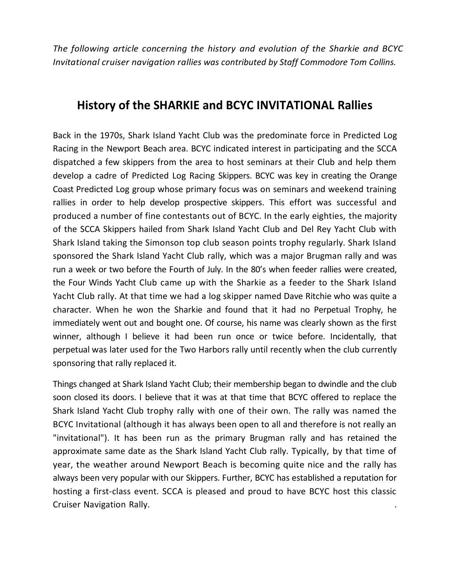*The following article concerning the history and evolution of the Sharkie and BCYC Invitational cruiser navigation rallies was contributed by Staff Commodore Tom Collins.*

#### **History of the SHARKIE and BCYC INVITATIONAL Rallies**

Back in the 1970s, Shark Island Yacht Club was the predominate force in Predicted Log Racing in the Newport Beach area. BCYC indicated interest in participating and the SCCA dispatched a few skippers from the area to host seminars at their Club and help them develop a cadre of Predicted Log Racing Skippers. BCYC was key in creating the Orange Coast Predicted Log group whose primary focus was on seminars and weekend training rallies in order to help develop prospective skippers. This effort was successful and produced a number of fine contestants out of BCYC. In the early eighties, the majority of the SCCA Skippers hailed from Shark Island Yacht Club and Del Rey Yacht Club with Shark Island taking the Simonson top club season points trophy regularly. Shark Island sponsored the Shark Island Yacht Club rally, which was a major Brugman rally and was run a week or two before the Fourth of July. In the 80's when feeder rallies were created, the Four Winds Yacht Club came up with the Sharkie as a feeder to the Shark Island Yacht Club rally. At that time we had a log skipper named Dave Ritchie who was quite a character. When he won the Sharkie and found that it had no Perpetual Trophy, he immediately went out and bought one. Of course, his name was clearly shown as the first winner, although I believe it had been run once or twice before. Incidentally, that perpetual was later used for the Two Harbors rally until recently when the club currently sponsoring that rally replaced it.

Things changed at Shark Island Yacht Club; their membership began to dwindle and the club soon closed its doors. I believe that it was at that time that BCYC offered to replace the Shark Island Yacht Club trophy rally with one of their own. The rally was named the BCYC Invitational (although it has always been open to all and therefore is not really an "invitational"). It has been run as the primary Brugman rally and has retained the approximate same date as the Shark Island Yacht Club rally. Typically, by that time of year, the weather around Newport Beach is becoming quite nice and the rally has always been very popular with our Skippers. Further, BCYC has established a reputation for hosting a first-class event. SCCA is pleased and proud to have BCYC host this classic Cruiser Navigation Rally. .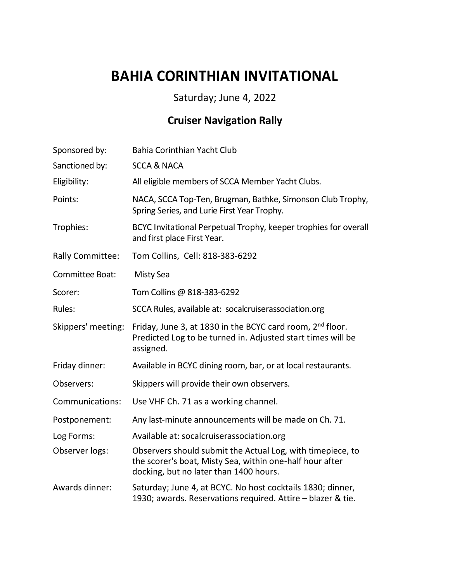# **BAHIA CORINTHIAN INVITATIONAL**

#### Saturday; June 4, 2022

### **Cruiser Navigation Rally**

| Sponsored by:           | Bahia Corinthian Yacht Club                                                                                                                                      |
|-------------------------|------------------------------------------------------------------------------------------------------------------------------------------------------------------|
| Sanctioned by:          | <b>SCCA &amp; NACA</b>                                                                                                                                           |
| Eligibility:            | All eligible members of SCCA Member Yacht Clubs.                                                                                                                 |
| Points:                 | NACA, SCCA Top-Ten, Brugman, Bathke, Simonson Club Trophy,<br>Spring Series, and Lurie First Year Trophy.                                                        |
| Trophies:               | BCYC Invitational Perpetual Trophy, keeper trophies for overall<br>and first place First Year.                                                                   |
| <b>Rally Committee:</b> | Tom Collins, Cell: 818-383-6292                                                                                                                                  |
| Committee Boat:         | <b>Misty Sea</b>                                                                                                                                                 |
| Scorer:                 | Tom Collins @ 818-383-6292                                                                                                                                       |
| Rules:                  | SCCA Rules, available at: socalcruiserassociation.org                                                                                                            |
| Skippers' meeting:      | Friday, June 3, at 1830 in the BCYC card room, 2nd floor.<br>Predicted Log to be turned in. Adjusted start times will be<br>assigned.                            |
| Friday dinner:          | Available in BCYC dining room, bar, or at local restaurants.                                                                                                     |
| Observers:              | Skippers will provide their own observers.                                                                                                                       |
| Communications:         | Use VHF Ch. 71 as a working channel.                                                                                                                             |
| Postponement:           | Any last-minute announcements will be made on Ch. 71.                                                                                                            |
| Log Forms:              | Available at: socalcruiserassociation.org                                                                                                                        |
| Observer logs:          | Observers should submit the Actual Log, with timepiece, to<br>the scorer's boat, Misty Sea, within one-half hour after<br>docking, but no later than 1400 hours. |
| Awards dinner:          | Saturday; June 4, at BCYC. No host cocktails 1830; dinner,<br>1930; awards. Reservations required. Attire - blazer & tie.                                        |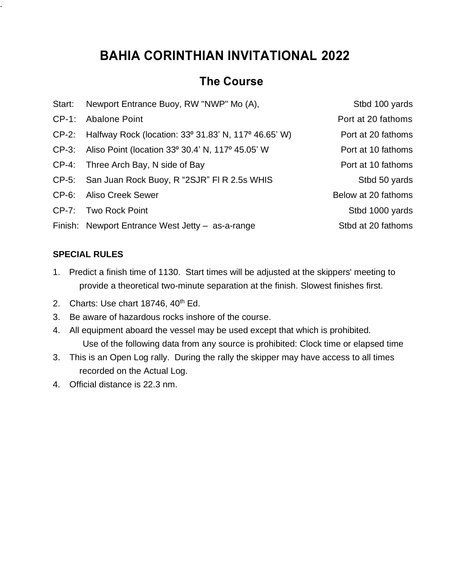## **BAHIA CORINTHIAN INVITATIONAL 2022**

#### **The Course**

| Start:   | Newport Entrance Buoy, RW "NWP" Mo (A),                    | Stbd 100 yards      |
|----------|------------------------------------------------------------|---------------------|
| $CP-1$ : | <b>Abalone Point</b>                                       | Port at 20 fathoms  |
|          | CP-2: Halfway Rock (location: 33° 31.83' N, 117° 46.65' W) | Port at 20 fathoms  |
| $CP-3$ : | Aliso Point (location 33° 30.4' N, 117° 45.05' W           | Port at 10 fathoms  |
| $CP-4$ : | Three Arch Bay, N side of Bay                              | Port at 10 fathoms  |
|          | CP-5: San Juan Rock Buoy, R "2SJR" FI R 2.5s WHIS          | Stbd 50 yards       |
| $CP-6$ : | Aliso Creek Sewer                                          | Below at 20 fathoms |
|          | CP-7: Two Rock Point                                       | Stbd 1000 yards     |
|          | Finish: Newport Entrance West Jetty - as-a-range           | Stbd at 20 fathoms  |
|          |                                                            |                     |

#### **SPECIAL RULES**

.

- 1. Predict a finish time of 1130. Start times will be adjusted at the skippers' meeting to provide a theoretical two-minute separation at the finish. Slowest finishes first.
- 2. Charts: Use chart  $18746$ ,  $40<sup>th</sup>$  Ed.
- 3. Be aware of hazardous rocks inshore of the course.
- 4. All equipment aboard the vessel may be used except that which is prohibited. Use of the following data from any source is prohibited: Clock time or elapsed time
- 3. This is an Open Log rally. During the rally the skipper may have access to all times recorded on the Actual Log.
- 4. Official distance is 22.3 nm.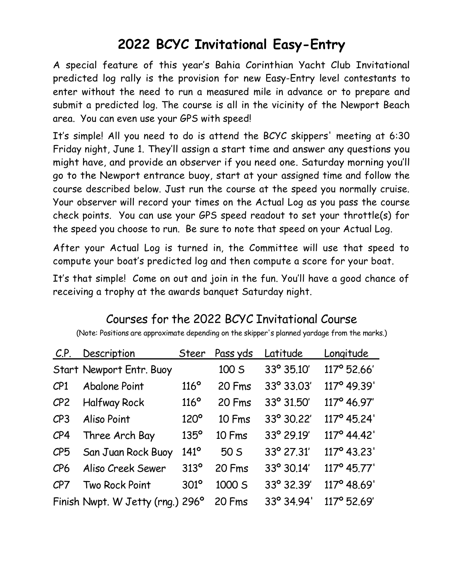## **2022 BCYC Invitational Easy-Entry**

A special feature of this year's Bahia Corinthian Yacht Club Invitational predicted log rally is the provision for new Easy-Entry level contestants to enter without the need to run a measured mile in advance or to prepare and submit a predicted log. The course is all in the vicinity of the Newport Beach area. You can even use your GPS with speed!

It's simple! All you need to do is attend the BCYC skippers' meeting at 6:30 Friday night, June 1. They'll assign a start time and answer any questions you might have, and provide an observer if you need one. Saturday morning you'll go to the Newport entrance buoy, start at your assigned time and follow the course described below. Just run the course at the speed you normally cruise. Your observer will record your times on the Actual Log as you pass the course check points. You can use your GPS speed readout to set your throttle(s) for the speed you choose to run. Be sure to note that speed on your Actual Log.

After your Actual Log is turned in, the Committee will use that speed to compute your boat's predicted log and then compute a score for your boat.

It's that simple! Come on out and join in the fun. You'll have a good chance of receiving a trophy at the awards banquet Saturday night.

| C.P.            | Description                      | <b>Steer</b>     | Pass yds | Latitude   | Longitude   |
|-----------------|----------------------------------|------------------|----------|------------|-------------|
|                 | Start Newport Entr. Buoy         |                  | 100 S    | 33° 35.10' | 117° 52.66' |
| CP1             | <b>Abalone Point</b>             | $116^\circ$      | 20 Fms   | 33° 33.03' | 117° 49.39' |
| CP <sub>2</sub> | <b>Halfway Rock</b>              | $116^\circ$      | 20 Fms   | 33° 31.50' | 117° 46.97' |
| CP3             | Aliso Point                      | $120^\circ$      | 10 Fms   | 33° 30.22' | 117° 45.24' |
| CP4             | Three Arch Bay                   | $135^\circ$      | 10 Fms   | 33° 29.19' | 117° 44.42' |
| CP <sub>5</sub> | San Juan Rock Buoy               | $141^\circ$      | 50 S     | 33° 27.31' | 117° 43.23' |
| CP6             | Aliso Creek Sewer                | 313 <sup>o</sup> | 20 Fms   | 33° 30.14' | 117° 45.77' |
| CP7             | Two Rock Point                   | $301^{\circ}$    | 1000 S   | 33° 32.39' | 117° 48.69' |
|                 | Finish Nwpt. W Jetty (rng.) 296° |                  | 20 Fms   | 33° 34.94' | 117° 52.69' |

### Courses for the 2022 BCYC Invitational Course

(Note: Positions are approximate depending on the skipper's planned yardage from the marks.)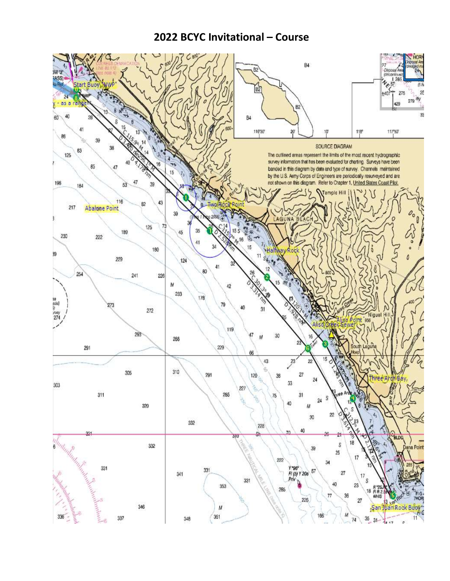#### **2022 BCYC Invitational – Course**